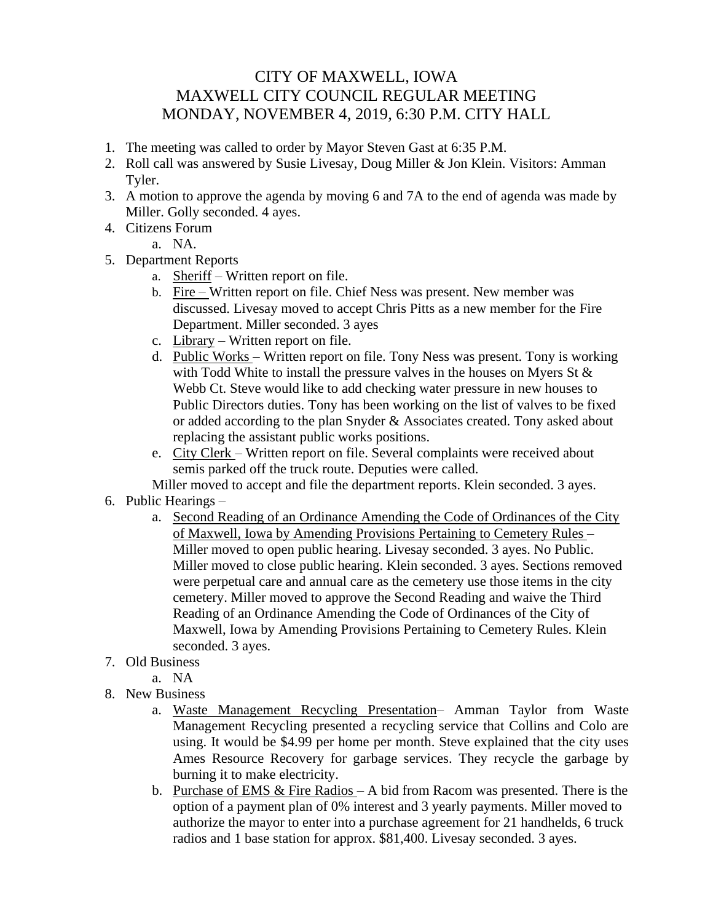## CITY OF MAXWELL, IOWA MAXWELL CITY COUNCIL REGULAR MEETING MONDAY, NOVEMBER 4, 2019, 6:30 P.M. CITY HALL

- 1. The meeting was called to order by Mayor Steven Gast at 6:35 P.M.
- 2. Roll call was answered by Susie Livesay, Doug Miller & Jon Klein. Visitors: Amman Tyler.
- 3. A motion to approve the agenda by moving 6 and 7A to the end of agenda was made by Miller. Golly seconded. 4 ayes.
- 4. Citizens Forum

a. NA.

- 5. Department Reports
	- a. Sheriff Written report on file.
	- b. Fire Written report on file. Chief Ness was present. New member was discussed. Livesay moved to accept Chris Pitts as a new member for the Fire Department. Miller seconded. 3 ayes
	- c. Library Written report on file.
	- d. Public Works Written report on file. Tony Ness was present. Tony is working with Todd White to install the pressure valves in the houses on Myers St  $\&$ Webb Ct. Steve would like to add checking water pressure in new houses to Public Directors duties. Tony has been working on the list of valves to be fixed or added according to the plan Snyder & Associates created. Tony asked about replacing the assistant public works positions.
	- e. City Clerk Written report on file. Several complaints were received about semis parked off the truck route. Deputies were called.

Miller moved to accept and file the department reports. Klein seconded. 3 ayes.

- 6. Public Hearings
	- a. Second Reading of an Ordinance Amending the Code of Ordinances of the City of Maxwell, Iowa by Amending Provisions Pertaining to Cemetery Rules – Miller moved to open public hearing. Livesay seconded. 3 ayes. No Public. Miller moved to close public hearing. Klein seconded. 3 ayes. Sections removed were perpetual care and annual care as the cemetery use those items in the city cemetery. Miller moved to approve the Second Reading and waive the Third Reading of an Ordinance Amending the Code of Ordinances of the City of Maxwell, Iowa by Amending Provisions Pertaining to Cemetery Rules. Klein seconded. 3 ayes.
- 7. Old Business
	- a. NA
- 8. New Business
	- a. Waste Management Recycling Presentation– Amman Taylor from Waste Management Recycling presented a recycling service that Collins and Colo are using. It would be \$4.99 per home per month. Steve explained that the city uses Ames Resource Recovery for garbage services. They recycle the garbage by burning it to make electricity.
	- b. Purchase of EMS  $&$  Fire Radios A bid from Racom was presented. There is the option of a payment plan of 0% interest and 3 yearly payments. Miller moved to authorize the mayor to enter into a purchase agreement for 21 handhelds, 6 truck radios and 1 base station for approx. \$81,400. Livesay seconded. 3 ayes.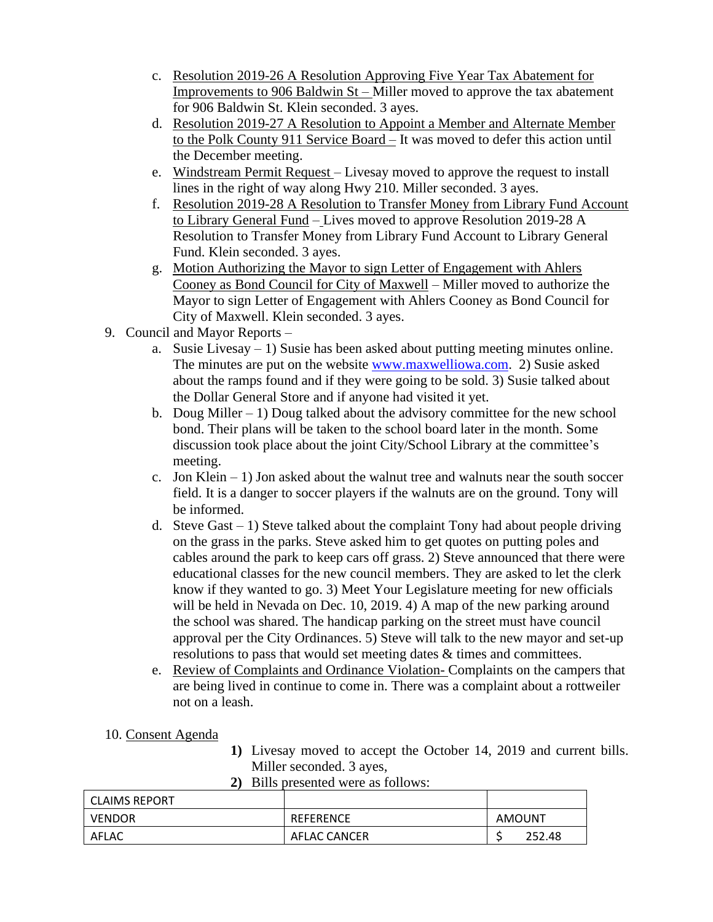- c. Resolution 2019-26 A Resolution Approving Five Year Tax Abatement for Improvements to 906 Baldwin St – Miller moved to approve the tax abatement for 906 Baldwin St. Klein seconded. 3 ayes.
- d. Resolution 2019-27 A Resolution to Appoint a Member and Alternate Member to the Polk County 911 Service Board – It was moved to defer this action until the December meeting.
- e. Windstream Permit Request Livesay moved to approve the request to install lines in the right of way along Hwy 210. Miller seconded. 3 ayes.
- f. Resolution 2019-28 A Resolution to Transfer Money from Library Fund Account to Library General Fund – Lives moved to approve Resolution 2019-28 A Resolution to Transfer Money from Library Fund Account to Library General Fund. Klein seconded. 3 ayes.
- g. Motion Authorizing the Mayor to sign Letter of Engagement with Ahlers Cooney as Bond Council for City of Maxwell – Miller moved to authorize the Mayor to sign Letter of Engagement with Ahlers Cooney as Bond Council for City of Maxwell. Klein seconded. 3 ayes.
- 9. Council and Mayor Reports
	- a. Susie Livesay  $-1$ ) Susie has been asked about putting meeting minutes online. The minutes are put on the website [www.maxwelliowa.com.](http://www.maxwelliowa.com/) 2) Susie asked about the ramps found and if they were going to be sold. 3) Susie talked about the Dollar General Store and if anyone had visited it yet.
	- b. Doug Miller  $-1$ ) Doug talked about the advisory committee for the new school bond. Their plans will be taken to the school board later in the month. Some discussion took place about the joint City/School Library at the committee's meeting.
	- c. Jon Klein  $-1$ ) Jon asked about the walnut tree and walnuts near the south soccer field. It is a danger to soccer players if the walnuts are on the ground. Tony will be informed.
	- d. Steve Gast  $-1$ ) Steve talked about the complaint Tony had about people driving on the grass in the parks. Steve asked him to get quotes on putting poles and cables around the park to keep cars off grass. 2) Steve announced that there were educational classes for the new council members. They are asked to let the clerk know if they wanted to go. 3) Meet Your Legislature meeting for new officials will be held in Nevada on Dec. 10, 2019. 4) A map of the new parking around the school was shared. The handicap parking on the street must have council approval per the City Ordinances. 5) Steve will talk to the new mayor and set-up resolutions to pass that would set meeting dates & times and committees.
	- e. Review of Complaints and Ordinance Violation- Complaints on the campers that are being lived in continue to come in. There was a complaint about a rottweiler not on a leash.
- 10. Consent Agenda
- **1)** Livesay moved to accept the October 14, 2019 and current bills. Miller seconded. 3 ayes,
- **2)** Bills presented were as follows:

| l CLAIMS REPORT |                  |        |
|-----------------|------------------|--------|
| <b>VENDOR</b>   | <b>REFERENCE</b> | AMOUNT |
| AFLAC           | AFLAC CANCER     | 252.48 |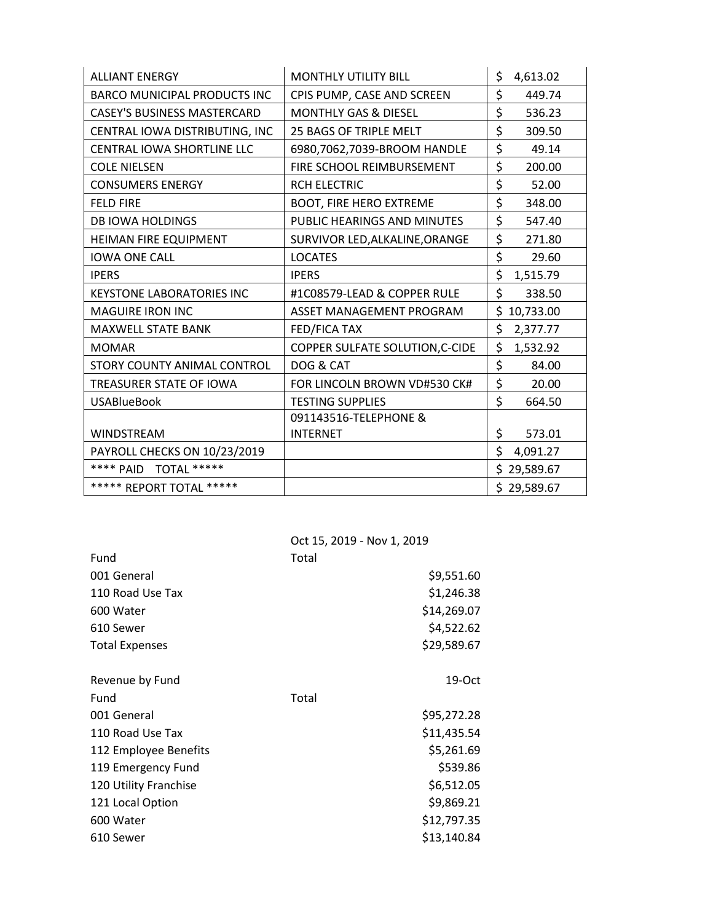| <b>ALLIANT ENERGY</b>               | <b>MONTHLY UTILITY BILL</b>     | \$<br>4,613.02  |
|-------------------------------------|---------------------------------|-----------------|
| <b>BARCO MUNICIPAL PRODUCTS INC</b> | CPIS PUMP, CASE AND SCREEN      | \$<br>449.74    |
| <b>CASEY'S BUSINESS MASTERCARD</b>  | <b>MONTHLY GAS &amp; DIESEL</b> | \$<br>536.23    |
| CENTRAL IOWA DISTRIBUTING, INC      | 25 BAGS OF TRIPLE MELT          | \$<br>309.50    |
| <b>CENTRAL IOWA SHORTLINE LLC</b>   | 6980,7062,7039-BROOM HANDLE     | \$<br>49.14     |
| <b>COLE NIELSEN</b>                 | FIRE SCHOOL REIMBURSEMENT       | \$<br>200.00    |
| <b>CONSUMERS ENERGY</b>             | <b>RCH ELECTRIC</b>             | \$<br>52.00     |
| <b>FELD FIRE</b>                    | <b>BOOT, FIRE HERO EXTREME</b>  | \$<br>348.00    |
| <b>DB IOWA HOLDINGS</b>             | PUBLIC HEARINGS AND MINUTES     | \$<br>547.40    |
| <b>HEIMAN FIRE EQUIPMENT</b>        | SURVIVOR LED, ALKALINE, ORANGE  | \$<br>271.80    |
| <b>IOWA ONE CALL</b>                | <b>LOCATES</b>                  | \$<br>29.60     |
| <b>IPERS</b>                        | <b>IPERS</b>                    | \$<br>1,515.79  |
| <b>KEYSTONE LABORATORIES INC</b>    | #1C08579-LEAD & COPPER RULE     | \$<br>338.50    |
| <b>MAGUIRE IRON INC</b>             | ASSET MANAGEMENT PROGRAM        | \$<br>10,733.00 |
| <b>MAXWELL STATE BANK</b>           | <b>FED/FICA TAX</b>             | \$<br>2,377.77  |
| <b>MOMAR</b>                        | COPPER SULFATE SOLUTION, C-CIDE | \$<br>1,532.92  |
| STORY COUNTY ANIMAL CONTROL         | DOG & CAT                       | \$<br>84.00     |
| TREASURER STATE OF IOWA             | FOR LINCOLN BROWN VD#530 CK#    | \$<br>20.00     |
| <b>USABlueBook</b>                  | <b>TESTING SUPPLIES</b>         | \$<br>664.50    |
|                                     | 091143516-TELEPHONE &           |                 |
| <b>WINDSTREAM</b>                   | <b>INTERNET</b>                 | \$<br>573.01    |
| PAYROLL CHECKS ON 10/23/2019        |                                 | \$<br>4,091.27  |
| **** PAID<br>TOTAL *****            |                                 | \$<br>29,589.67 |
| ***** REPORT TOTAL *****            |                                 | \$29,589.67     |

|                       | Oct 15, 2019 - Nov 1, 2019 |  |
|-----------------------|----------------------------|--|
| Fund                  | Total                      |  |
| 001 General           | \$9,551.60                 |  |
| 110 Road Use Tax      | \$1,246.38                 |  |
| 600 Water             | \$14,269.07                |  |
| 610 Sewer             | \$4,522.62                 |  |
| <b>Total Expenses</b> | \$29,589.67                |  |
|                       |                            |  |
| Revenue by Fund       | 19-Oct                     |  |
| Fund                  | Total                      |  |
| 001 General           | \$95,272.28                |  |
| 110 Road Use Tax      | \$11,435.54                |  |
| 112 Employee Benefits | \$5,261.69                 |  |
| 119 Emergency Fund    | \$539.86                   |  |
| 120 Utility Franchise | \$6,512.05                 |  |
| 121 Local Option      | \$9,869.21                 |  |
| 600 Water             | \$12,797.35                |  |
| 610 Sewer             | \$13,140.84                |  |